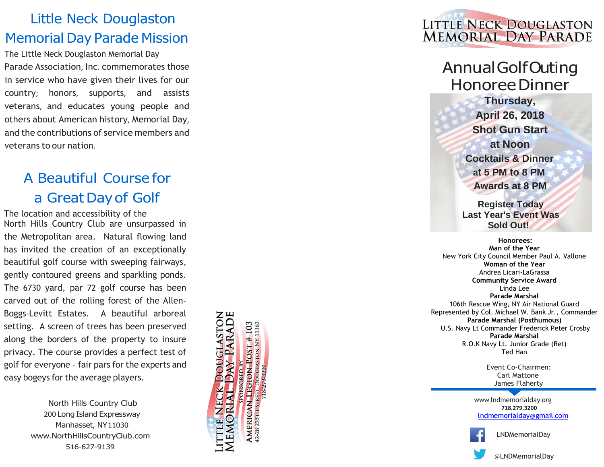## Little Neck Douglaston Memorial Day Parade Mission

The Little Neck Douglaston Memorial Day Parade Association , Inc . commemorates those in service who have given their lives for our country; honors, supports, and assists veterans, and educates young people and others about American history , Memorial Day, and the contributions of service members and veterans to our nation .

# A Beautiful Course for a GreatDay of Golf

The location and accessibility of the North Hills Country Club are unsurpassed in the Metropolitan area. Natural flowing land has invited the creation of an exceptionally beautiful golf course with sweeping fairways, gently contoured greens and sparkling ponds. The 6730 yard, par 72 golf course has been carved out of the rolling forest of the Allen - Boggs -Levitt Estates. A beautiful arboreal setting. A screen of trees has been preserved along the borders of the property to insure privacy. The course provides a perfect test of golf for everyone - fair pars for the experts and easy bogeys for the average players .

> North Hills Country Club 200 Long Island Expressway Manhasset, NY11030 www .[NorthHillsCountryClub](http://www.northhillscountryclub.com/) .com 516 -627 -9139





Annual Golf Outing Honoree Dinner

**Thursday, April 26, 2018 Shot Gun Start at Noon Cocktails & Dinner at 5 PM to 8 PM Awards at 8 PM**

 **Register Today Last Year's Event Was Sold Out!**

 **Honoree s : Man of the Year** New York City Council Member Paul A. Vallone **Woman of the Year** Andrea Licari -LaGrassa **Community Service Award** Linda Lee **Parade Marshal** 106th Rescue Wing, NY Air National Guard Represented by Col. Michael W. Bank Jr., Commander **Parade Marshal (Posthumous)** U.S. Navy Lt Commander Frederick Peter Crosby **Parade Marshal** R.O.K Navy Lt. Junior Grade (Ret) Ted Han

> Event Co -Chairmen : Carl Mattone James Flaherty

 www .[lndmemorialday](http://www.lndmemorialday.org/) .org **718.279.3200** [lndmemorialday](mailto:lndmemorialday@gmail.com) @gmail .com

@LNDMemorialDay